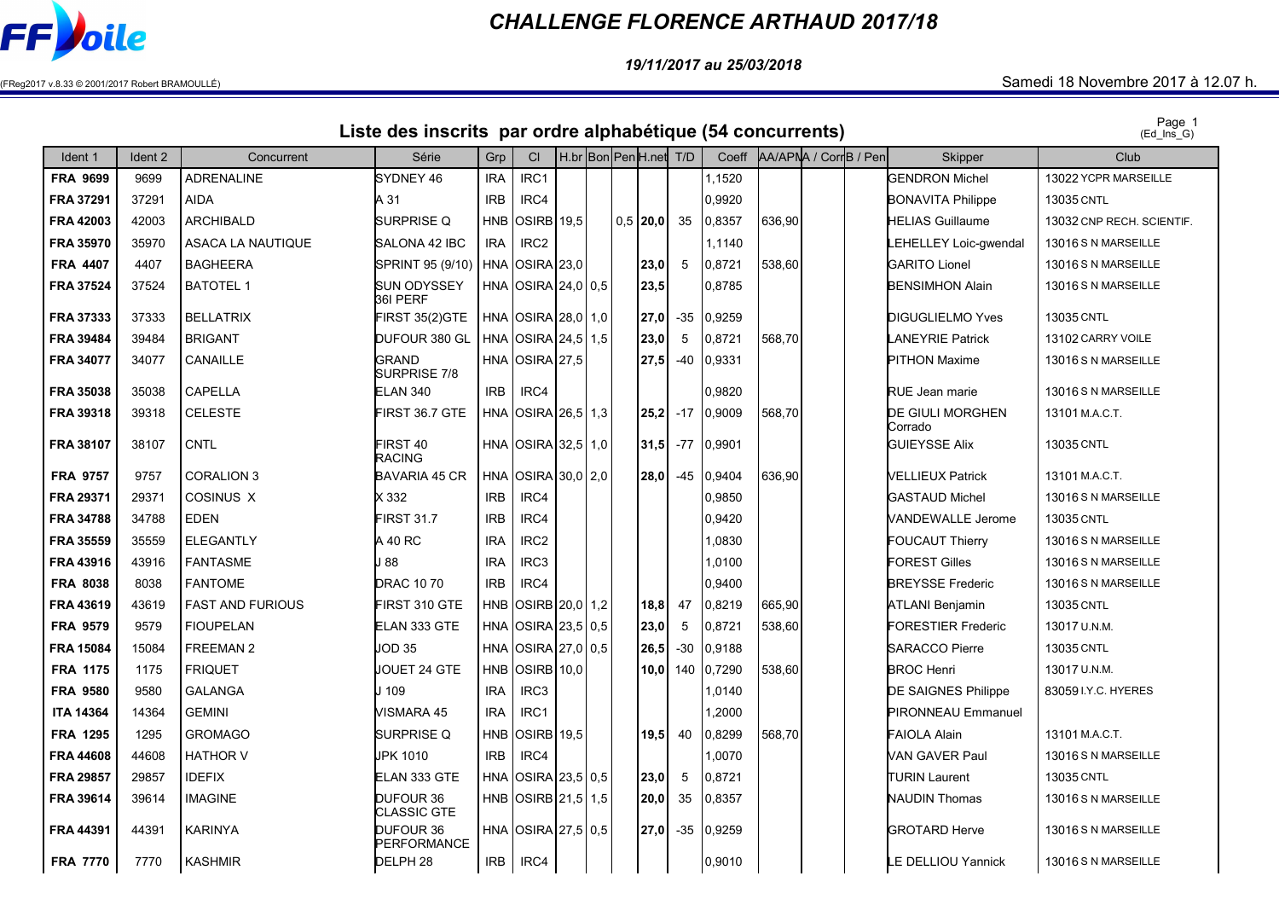

## CHALLENGE FLORENCE ARTHAUD 2017/18

19/11/2017 au 25/03/2018

## $(FReg2017 v.8.33 © 2001/2017 Robert BRAMOULLÉ)$   $Samedi 18 November 2017 à 12.07 h.$

Page 1 Liste des inscrits par ordre alphabétique (54 concurrents)

| Ident 1          | Ident 2 | Concurrent              | Série                           | Grp        | C <sub>l</sub>                            |  | H.br Bon PenH.net | T/D             | Coeff      |        | AA/APNA / CorrB / Pen | Skipper                            | Club                      |
|------------------|---------|-------------------------|---------------------------------|------------|-------------------------------------------|--|-------------------|-----------------|------------|--------|-----------------------|------------------------------------|---------------------------|
| <b>FRA 9699</b>  | 9699    | <b>ADRENALINE</b>       | SYDNEY 46                       | <b>IRA</b> | IRC1                                      |  |                   |                 | 1.1520     |        |                       | <b>GENDRON Michel</b>              | 13022 YCPR MARSEILLE      |
| FRA 37291        | 37291   | <b>AIDA</b>             | A 31                            | <b>IRB</b> | IRC4                                      |  |                   |                 | 0,9920     |        |                       | <b>BONAVITA Philippe</b>           | <b>13035 CNTL</b>         |
| FRA 42003        | 42003   | ARCHIBALD               | SURPRISE Q                      |            | HNB OSIRB 19.5                            |  | $0.5$   20.0      | 35              | 0.8357     | 636.90 |                       | <b>HELIAS Guillaume</b>            | 13032 CNP RECH. SCIENTIF. |
| <b>FRA 35970</b> | 35970   | ASACA LA NAUTIQUE       | SALONA 42 IBC                   | <b>IRA</b> | IRC <sub>2</sub>                          |  |                   |                 | 1,1140     |        |                       | <b>EHELLEY Loic-gwendal</b>        | 13016 S N MARSEILLE       |
| <b>FRA 4407</b>  | 4407    | <b>BAGHEERA</b>         | SPRINT 95 (9/10)                |            | <b>HNA OSIRA 23,0</b>                     |  | 23,0              | $5\overline{)}$ | 0,8721     | 538,60 |                       | <b>GARITO Lionel</b>               | 13016 S N MARSEILLE       |
| <b>FRA 37524</b> | 37524   | <b>BATOTEL 1</b>        | SUN ODYSSEY<br>36I PERF         |            | HNA OSIRA 24,0 0.5                        |  | 23,5              |                 | 0,8785     |        |                       | <b>BENSIMHON Alain</b>             | 13016 S N MARSEILLE       |
| <b>FRA 37333</b> | 37333   | <b>BELLATRIX</b>        | FIRST 35(2)GTE                  |            | HNA OSIRA 28,0 1,0                        |  | 27,0              | $-35$           | 0,9259     |        |                       | <b>DIGUGLIELMO Yves</b>            | 13035 CNTL                |
| <b>FRA 39484</b> | 39484   | <b>BRIGANT</b>          | DUFOUR 380 GL                   |            | HNA OSIRA 24,5 1,5                        |  | 23,0              | 5               | 0,8721     | 568,70 |                       | <b>LANEYRIE Patrick</b>            | 13102 CARRY VOILE         |
| <b>FRA 34077</b> | 34077   | CANAILLE                | <b>GRAND</b><br>SURPRISE 7/8    |            | HNA OSIRA 27,5                            |  | 27,5              | -40             | 0,9331     |        |                       | <b>PITHON Maxime</b>               | 13016 S N MARSEILLE       |
| FRA 35038        | 35038   | CAPELLA                 | <b>ELAN 340</b>                 | <b>IRB</b> | IRC4                                      |  |                   |                 | 0,9820     |        |                       | <b>RUE Jean marie</b>              | 13016 S N MARSEILLE       |
| FRA 39318        | 39318   | <b>CELESTE</b>          | FIRST 36.7 GTE                  |            | HNA $\text{OSIRA}\left  26,5 \right $ 1,3 |  | 25,2              | $-17$           | 0,9009     | 568,70 |                       | <b>DE GIULI MORGHEN</b><br>Corrado | 13101 M.A.C.T.            |
| <b>FRA 38107</b> | 38107   | <b>CNTL</b>             | FIRST 40<br>RACING              |            | HNA OSIRA 32,5 1,0                        |  | 31,5              | $-77$           | 0,9901     |        |                       | <b>GUIEYSSE Alix</b>               | 13035 CNTL                |
| <b>FRA 9757</b>  | 9757    | <b>CORALION 3</b>       | <b>BAVARIA 45 CR</b>            |            | HNA OSIRA 30.0 2.0                        |  | 28.0              | -45             | 0,9404     | 636,90 |                       | VELLIEUX Patrick                   | 13101 M.A.C.T.            |
| <b>FRA 29371</b> | 29371   | COSINUS X               | X 332                           | <b>IRB</b> | IRC4                                      |  |                   |                 | 0.9850     |        |                       | <b>GASTAUD Michel</b>              | 13016 S N MARSEILLE       |
| <b>FRA 34788</b> | 34788   | <b>EDEN</b>             | <b>FIRST 31.7</b>               | <b>IRB</b> | IRC4                                      |  |                   |                 | 0,9420     |        |                       | <b>VANDEWALLE Jerome</b>           | 13035 CNTL                |
| <b>FRA 35559</b> | 35559   | <b>ELEGANTLY</b>        | A 40 RC                         | <b>IRA</b> | IRC <sub>2</sub>                          |  |                   |                 | 1.0830     |        |                       | <b>FOUCAUT Thierry</b>             | 13016 S N MARSEILLE       |
| FRA 43916        | 43916   | <b>FANTASME</b>         | 88                              | <b>IRA</b> | IRC3                                      |  |                   |                 | 1,0100     |        |                       | <b>FOREST Gilles</b>               | 13016 S N MARSEILLE       |
| <b>FRA 8038</b>  | 8038    | <b>FANTOME</b>          | <b>DRAC 1070</b>                | <b>IRB</b> | IRC4                                      |  |                   |                 | 0.9400     |        |                       | <b>BREYSSE Frederic</b>            | 13016 S N MARSEILLE       |
| FRA 43619        | 43619   | <b>FAST AND FURIOUS</b> | FIRST 310 GTE                   | HNB        | OSIRB 20.0 1,2                            |  | 18,8              | 47              | 0,8219     | 665,90 |                       | ATLANI Benjamin                    | 13035 CNTL                |
| <b>FRA 9579</b>  | 9579    | <b>FIOUPELAN</b>        | ELAN 333 GTE                    |            | HNA OSIRA 23,5 0,5                        |  | 23,0              | 5               | 0,8721     | 538,60 |                       | <b>FORESTIER Frederic</b>          | 13017 U.N.M.              |
| <b>FRA 15084</b> | 15084   | <b>FREEMAN 2</b>        | JOD 35                          |            | HNA OSIRA 27,0 0.5                        |  | 26,5              | $-30$           | 0,9188     |        |                       | <b>SARACCO Pierre</b>              | <b>13035 CNTL</b>         |
| <b>FRA 1175</b>  | 1175    | <b>FRIQUET</b>          | JOUET 24 GTE                    | <b>HNB</b> | <b>OSIRB</b> 10,0                         |  | 10.0 <sub>l</sub> |                 | 140 0,7290 | 538,60 |                       | <b>BROC Henri</b>                  | 13017 U.N.M.              |
| <b>FRA 9580</b>  | 9580    | <b>GALANGA</b>          | J 109                           | <b>IRA</b> | IRC <sub>3</sub>                          |  |                   |                 | 0140. ا    |        |                       | DE SAIGNES Philippe                | 83059 I.Y.C. HYERES       |
| <b>ITA 14364</b> | 14364   | <b>GEMINI</b>           | VISMARA 45                      | <b>IRA</b> | IRC1                                      |  |                   |                 | .2000      |        |                       | <b>PIRONNEAU Emmanuel</b>          |                           |
| <b>FRA 1295</b>  | 1295    | <b>GROMAGO</b>          | SURPRISE Q                      | <b>HNB</b> | OSIRB 19.5                                |  | 19.5 l            | 40              | 0,8299     | 568,70 |                       | <b>FAIOLA Alain</b>                | 13101 M.A.C.T.            |
| FRA 44608        | 44608   | <b>HATHOR V</b>         | <b>JPK 1010</b>                 | <b>IRB</b> | IRC4                                      |  |                   |                 | 1.0070     |        |                       | VAN GAVER Paul                     | 13016 S N MARSEILLE       |
| <b>FRA 29857</b> | 29857   | <b>IDEFIX</b>           | ELAN 333 GTE                    |            | HNA OSIRA 23,5 0,5                        |  | 23,0              | 5               | 0,8721     |        |                       | <b>TURIN Laurent</b>               | 13035 CNTL                |
| FRA 39614        | 39614   | <b>IMAGINE</b>          | DUFOUR 36<br><b>CLASSIC GTE</b> |            | HNB OSIRB 21,5 1,5                        |  | 20,0              | 35              | 0,8357     |        |                       | NAUDIN Thomas                      | 13016 S N MARSEILLE       |
| <b>FRA 44391</b> | 44391   | <b>KARINYA</b>          | DUFOUR 36<br>PERFORMANCE        |            | HNA OSIRA 27,5 0,5                        |  | 27,0              | $-35$           | 0,9259     |        |                       | <b>IGROTARD Herve</b>              | 13016 S N MARSEILLE       |
| <b>FRA 7770</b>  | 7770    | <b>KASHMIR</b>          | DELPH <sub>28</sub>             | <b>IRB</b> | IRC4                                      |  |                   |                 | 0,9010     |        |                       | <b>E DELLIOU Yannick</b>           | 13016 S N MARSEILLE       |